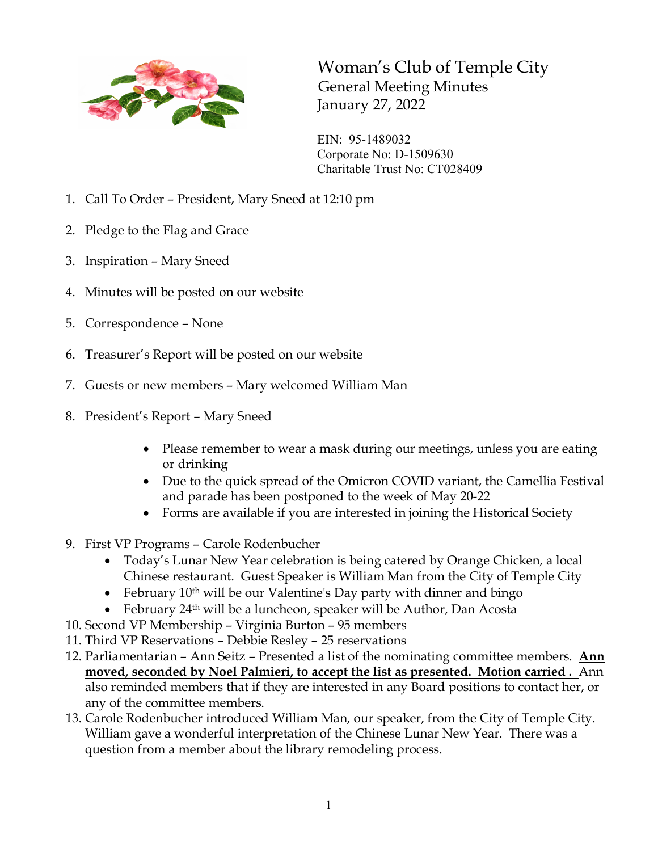

Woman's Club of Temple City General Meeting Minutes January 27, 2022

EIN: 95-1489032 Corporate No: D-1509630 Charitable Trust No: CT028409

- 1. Call To Order President, Mary Sneed at 12:10 pm
- 2. Pledge to the Flag and Grace
- 3. Inspiration Mary Sneed
- 4. Minutes will be posted on our website
- 5. Correspondence None
- 6. Treasurer's Report will be posted on our website
- 7. Guests or new members Mary welcomed William Man
- 8. President's Report Mary Sneed
	- Please remember to wear a mask during our meetings, unless you are eating or drinking
	- Due to the quick spread of the Omicron COVID variant, the Camellia Festival and parade has been postponed to the week of May 20-22
	- Forms are available if you are interested in joining the Historical Society
- 9. First VP Programs Carole Rodenbucher
	- Today's Lunar New Year celebration is being catered by Orange Chicken, a local Chinese restaurant. Guest Speaker is William Man from the City of Temple City
	- February  $10^{th}$  will be our Valentine's Day party with dinner and bingo
	- February 24<sup>th</sup> will be a luncheon, speaker will be Author, Dan Acosta
- 10. Second VP Membership Virginia Burton 95 members
- 11. Third VP Reservations Debbie Resley 25 reservations
- 12. Parliamentarian Ann Seitz Presented a list of the nominating committee members. **Ann moved, seconded by Noel Palmieri, to accept the list as presented. Motion carried .** Ann also reminded members that if they are interested in any Board positions to contact her, or any of the committee members.
- 13. Carole Rodenbucher introduced William Man, our speaker, from the City of Temple City. William gave a wonderful interpretation of the Chinese Lunar New Year. There was a question from a member about the library remodeling process.